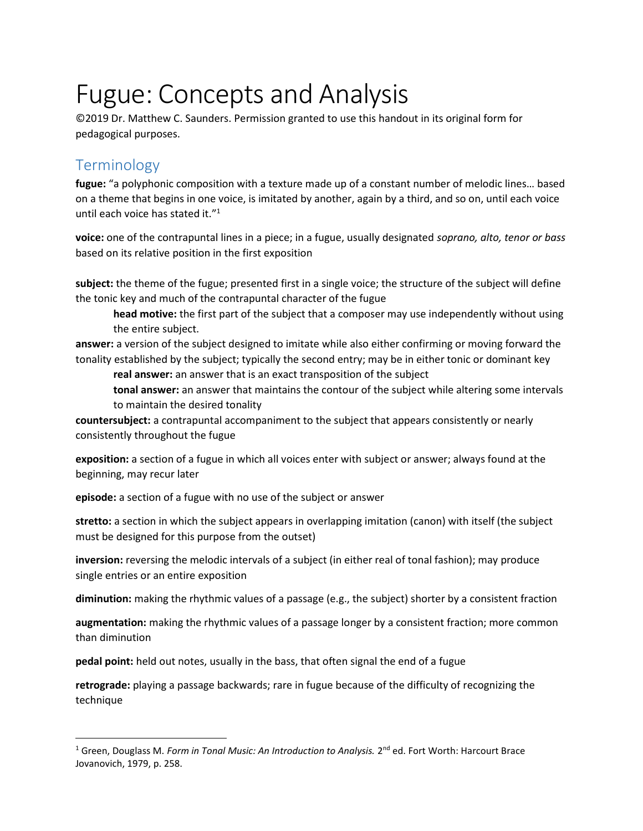## Fugue: Concepts and Analysis

©2019 Dr. Matthew C. Saunders. Permission granted to use this handout in its original form for pedagogical purposes.

## **Terminology**

 $\overline{a}$ 

fugue: "a polyphonic composition with a texture made up of a constant number of melodic lines… based on a theme that begins in one voice, is imitated by another, again by a third, and so on, until each voice until each voice has stated it."<sup>1</sup>

voice: one of the contrapuntal lines in a piece; in a fugue, usually designated soprano, alto, tenor or bass based on its relative position in the first exposition

subject: the theme of the fugue; presented first in a single voice; the structure of the subject will define the tonic key and much of the contrapuntal character of the fugue

head motive: the first part of the subject that a composer may use independently without using the entire subject.

answer: a version of the subject designed to imitate while also either confirming or moving forward the tonality established by the subject; typically the second entry; may be in either tonic or dominant key

real answer: an answer that is an exact transposition of the subject

tonal answer: an answer that maintains the contour of the subject while altering some intervals to maintain the desired tonality

countersubject: a contrapuntal accompaniment to the subject that appears consistently or nearly consistently throughout the fugue

exposition: a section of a fugue in which all voices enter with subject or answer; always found at the beginning, may recur later

episode: a section of a fugue with no use of the subject or answer

stretto: a section in which the subject appears in overlapping imitation (canon) with itself (the subject must be designed for this purpose from the outset)

inversion: reversing the melodic intervals of a subject (in either real of tonal fashion); may produce single entries or an entire exposition

diminution: making the rhythmic values of a passage (e.g., the subject) shorter by a consistent fraction

augmentation: making the rhythmic values of a passage longer by a consistent fraction; more common than diminution

pedal point: held out notes, usually in the bass, that often signal the end of a fugue

retrograde: playing a passage backwards; rare in fugue because of the difficulty of recognizing the technique

<sup>&</sup>lt;sup>1</sup> Green, Douglass M. Form in Tonal Music: An Introduction to Analysis. 2<sup>nd</sup> ed. Fort Worth: Harcourt Brace Jovanovich, 1979, p. 258.